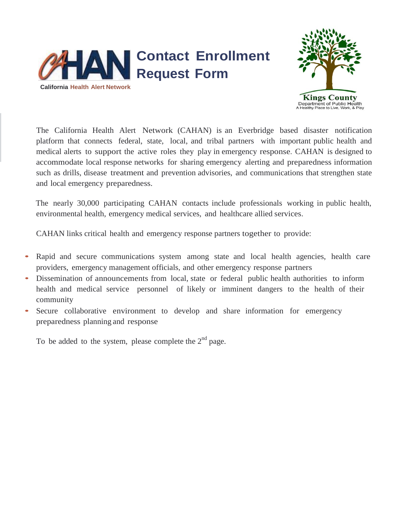



The California Health Alert Network (CAHAN) is an Everbridge based disaster notification platform that connects federal, state, local, and tribal partners with important public health and medical alerts to support the active roles they play in emergency response. CAHAN is designed to accommodate local response networks for sharing emergency alerting and preparedness information such as drills, disease treatment and prevention advisories, and communications that strengthen state and local emergency preparedness.

The nearly 30,000 participating CAHAN contacts include professionals working in public health, environmental health, emergency medical services, and healthcare allied services.

CAHAN links critical health and emergency response partners together to provide:

- Rapid and secure communications system among state and local health agencies, health care providers, emergency management officials, and other emergency response partners
- Dissemination of announcements from local, state or federal public health authorities to inform health and medical service personnel of likely or imminent dangers to the health of their community
- Secure collaborative environment to develop and share information for emergency preparedness planning and response

To be added to the system, please complete the  $2<sup>nd</sup>$  page.